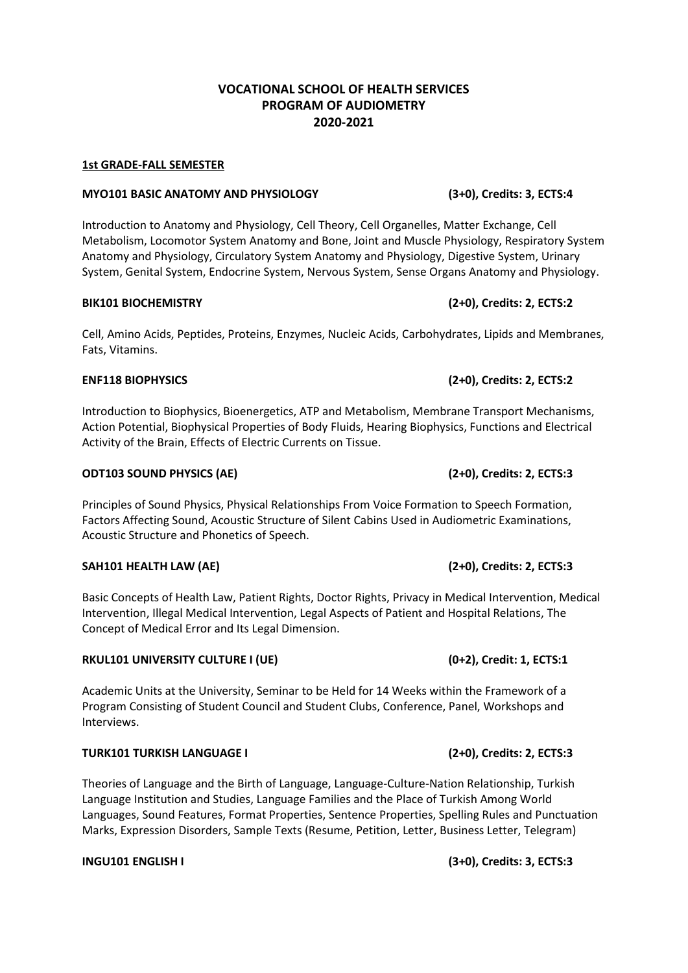# **VOCATIONAL SCHOOL OF HEALTH SERVICES PROGRAM OF AUDIOMETRY 2020-2021**

### **1st GRADE-FALL SEMESTER**

### **MYO101 BASIC ANATOMY AND PHYSIOLOGY (3+0), Credits: 3, ECTS:4**

Introduction to Anatomy and Physiology, Cell Theory, Cell Organelles, Matter Exchange, Cell Metabolism, Locomotor System Anatomy and Bone, Joint and Muscle Physiology, Respiratory System Anatomy and Physiology, Circulatory System Anatomy and Physiology, Digestive System, Urinary System, Genital System, Endocrine System, Nervous System, Sense Organs Anatomy and Physiology.

### **BIK101 BIOCHEMISTRY (2+0), Credits: 2, ECTS:2**

Cell, Amino Acids, Peptides, Proteins, Enzymes, Nucleic Acids, Carbohydrates, Lipids and Membranes, Fats, Vitamins.

## **ENF118 BIOPHYSICS (2+0), Credits: 2, ECTS:2**

Introduction to Biophysics, Bioenergetics, ATP and Metabolism, Membrane Transport Mechanisms, Action Potential, Biophysical Properties of Body Fluids, Hearing Biophysics, Functions and Electrical Activity of the Brain, Effects of Electric Currents on Tissue.

### **ODT103 SOUND PHYSICS (AE) (2+0), Credits: 2, ECTS:3**

Principles of Sound Physics, Physical Relationships From Voice Formation to Speech Formation, Factors Affecting Sound, Acoustic Structure of Silent Cabins Used in Audiometric Examinations, Acoustic Structure and Phonetics of Speech.

## **SAH101 HEALTH LAW (AE) (2+0), Credits: 2, ECTS:3**

Basic Concepts of Health Law, Patient Rights, Doctor Rights, Privacy in Medical Intervention, Medical Intervention, Illegal Medical Intervention, Legal Aspects of Patient and Hospital Relations, The Concept of Medical Error and Its Legal Dimension.

## **RKUL101 UNIVERSITY CULTURE I (UE) (0+2), Credit: 1, ECTS:1**

Academic Units at the University, Seminar to be Held for 14 Weeks within the Framework of a Program Consisting of Student Council and Student Clubs, Conference, Panel, Workshops and Interviews.

## **TURK101 TURKISH LANGUAGE I (2+0), Credits: 2, ECTS:3**

Theories of Language and the Birth of Language, Language-Culture-Nation Relationship, Turkish Language Institution and Studies, Language Families and the Place of Turkish Among World Languages, Sound Features, Format Properties, Sentence Properties, Spelling Rules and Punctuation Marks, Expression Disorders, Sample Texts (Resume, Petition, Letter, Business Letter, Telegram)

**INGU101 ENGLISH I (3+0), Credits: 3, ECTS:3**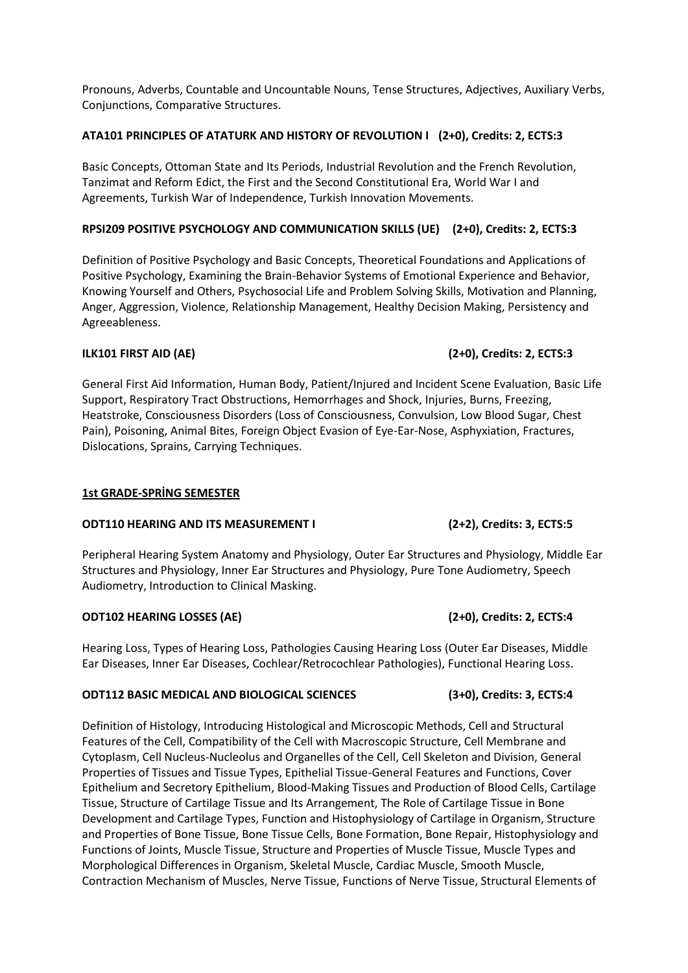Pronouns, Adverbs, Countable and Uncountable Nouns, Tense Structures, Adjectives, Auxiliary Verbs, Conjunctions, Comparative Structures.

# **ATA101 PRINCIPLES OF ATATURK AND HISTORY OF REVOLUTION I (2+0), Credits: 2, ECTS:3**

Basic Concepts, Ottoman State and Its Periods, Industrial Revolution and the French Revolution, Tanzimat and Reform Edict, the First and the Second Constitutional Era, World War I and Agreements, Turkish War of Independence, Turkish Innovation Movements.

# **RPSI209 POSITIVE PSYCHOLOGY AND COMMUNICATION SKILLS (UE) (2+0), Credits: 2, ECTS:3**

Definition of Positive Psychology and Basic Concepts, Theoretical Foundations and Applications of Positive Psychology, Examining the Brain-Behavior Systems of Emotional Experience and Behavior, Knowing Yourself and Others, Psychosocial Life and Problem Solving Skills, Motivation and Planning, Anger, Aggression, Violence, Relationship Management, Healthy Decision Making, Persistency and Agreeableness.

General First Aid Information, Human Body, Patient/Injured and Incident Scene Evaluation, Basic Life Support, Respiratory Tract Obstructions, Hemorrhages and Shock, Injuries, Burns, Freezing, Heatstroke, Consciousness Disorders (Loss of Consciousness, Convulsion, Low Blood Sugar, Chest Pain), Poisoning, Animal Bites, Foreign Object Evasion of Eye-Ear-Nose, Asphyxiation, Fractures, Dislocations, Sprains, Carrying Techniques.

## **1st GRADE-SPRİNG SEMESTER**

## **ODT110 HEARING AND ITS MEASUREMENT I (2+2), Credits: 3, ECTS:5**

Peripheral Hearing System Anatomy and Physiology, Outer Ear Structures and Physiology, Middle Ear Structures and Physiology, Inner Ear Structures and Physiology, Pure Tone Audiometry, Speech Audiometry, Introduction to Clinical Masking.

## **ODT102 HEARING LOSSES (AE) (2+0), Credits: 2, ECTS:4**

Hearing Loss, Types of Hearing Loss, Pathologies Causing Hearing Loss (Outer Ear Diseases, Middle Ear Diseases, Inner Ear Diseases, Cochlear/Retrocochlear Pathologies), Functional Hearing Loss.

## **ODT112 BASIC MEDICAL AND BIOLOGICAL SCIENCES (3+0), Credits: 3, ECTS:4**

Definition of Histology, Introducing Histological and Microscopic Methods, Cell and Structural Features of the Cell, Compatibility of the Cell with Macroscopic Structure, Cell Membrane and Cytoplasm, Cell Nucleus-Nucleolus and Organelles of the Cell, Cell Skeleton and Division, General Properties of Tissues and Tissue Types, Epithelial Tissue-General Features and Functions, Cover Epithelium and Secretory Epithelium, Blood-Making Tissues and Production of Blood Cells, Cartilage Tissue, Structure of Cartilage Tissue and Its Arrangement, The Role of Cartilage Tissue in Bone Development and Cartilage Types, Function and Histophysiology of Cartilage in Organism, Structure and Properties of Bone Tissue, Bone Tissue Cells, Bone Formation, Bone Repair, Histophysiology and Functions of Joints, Muscle Tissue, Structure and Properties of Muscle Tissue, Muscle Types and Morphological Differences in Organism, Skeletal Muscle, Cardiac Muscle, Smooth Muscle, Contraction Mechanism of Muscles, Nerve Tissue, Functions of Nerve Tissue, Structural Elements of

# **ILK101 FIRST AID (AE) (2+0), Credits: 2, ECTS:3**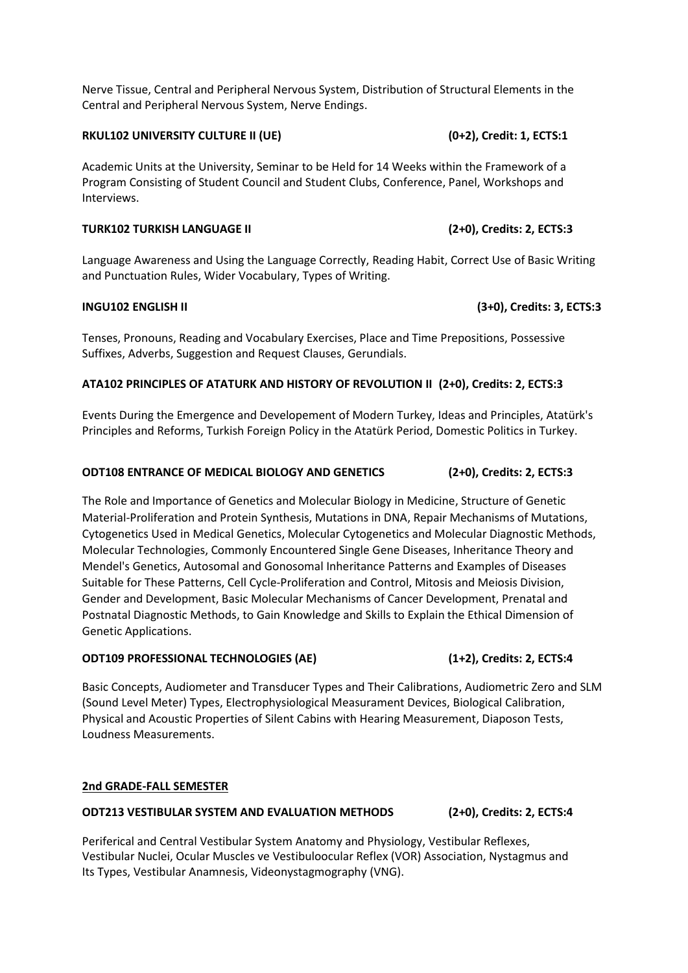Nerve Tissue, Central and Peripheral Nervous System, Distribution of Structural Elements in the Central and Peripheral Nervous System, Nerve Endings.

## **RKUL102 UNIVERSITY CULTURE II (UE) (0+2), Credit: 1, ECTS:1**

Academic Units at the University, Seminar to be Held for 14 Weeks within the Framework of a Program Consisting of Student Council and Student Clubs, Conference, Panel, Workshops and Interviews.

## **TURK102 TURKISH LANGUAGE II (2+0), Credits: 2, ECTS:3**

Language Awareness and Using the Language Correctly, Reading Habit, Correct Use of Basic Writing and Punctuation Rules, Wider Vocabulary, Types of Writing.

# **INGU102 ENGLISH II (3+0), Credits: 3, ECTS:3**

Tenses, Pronouns, Reading and Vocabulary Exercises, Place and Time Prepositions, Possessive Suffixes, Adverbs, Suggestion and Request Clauses, Gerundials.

# **ATA102 PRINCIPLES OF ATATURK AND HISTORY OF REVOLUTION II (2+0), Credits: 2, ECTS:3**

Events During the Emergence and Developement of Modern Turkey, Ideas and Principles, Atatürk's Principles and Reforms, Turkish Foreign Policy in the Atatürk Period, Domestic Politics in Turkey.

# **ODT108 ENTRANCE OF MEDICAL BIOLOGY AND GENETICS (2+0), Credits: 2, ECTS:3**

The Role and Importance of Genetics and Molecular Biology in Medicine, Structure of Genetic Material-Proliferation and Protein Synthesis, Mutations in DNA, Repair Mechanisms of Mutations, Cytogenetics Used in Medical Genetics, Molecular Cytogenetics and Molecular Diagnostic Methods, Molecular Technologies, Commonly Encountered Single Gene Diseases, Inheritance Theory and Mendel's Genetics, Autosomal and Gonosomal Inheritance Patterns and Examples of Diseases Suitable for These Patterns, Cell Cycle-Proliferation and Control, Mitosis and Meiosis Division, Gender and Development, Basic Molecular Mechanisms of Cancer Development, Prenatal and Postnatal Diagnostic Methods, to Gain Knowledge and Skills to Explain the Ethical Dimension of Genetic Applications.

## **ODT109 PROFESSIONAL TECHNOLOGIES (AE) (1+2), Credits: 2, ECTS:4**

Basic Concepts, Audiometer and Transducer Types and Their Calibrations, Audiometric Zero and SLM (Sound Level Meter) Types, Electrophysiological Measurament Devices, Biological Calibration, Physical and Acoustic Properties of Silent Cabins with Hearing Measurement, Diaposon Tests, Loudness Measurements.

## **2nd GRADE-FALL SEMESTER**

## **ODT213 VESTIBULAR SYSTEM AND EVALUATION METHODS (2+0), Credits: 2, ECTS:4**

Periferical and Central Vestibular System Anatomy and Physiology, Vestibular Reflexes, Vestibular Nuclei, Ocular Muscles ve Vestibuloocular Reflex (VOR) Association, Nystagmus and Its Types, Vestibular Anamnesis, Videonystagmography (VNG).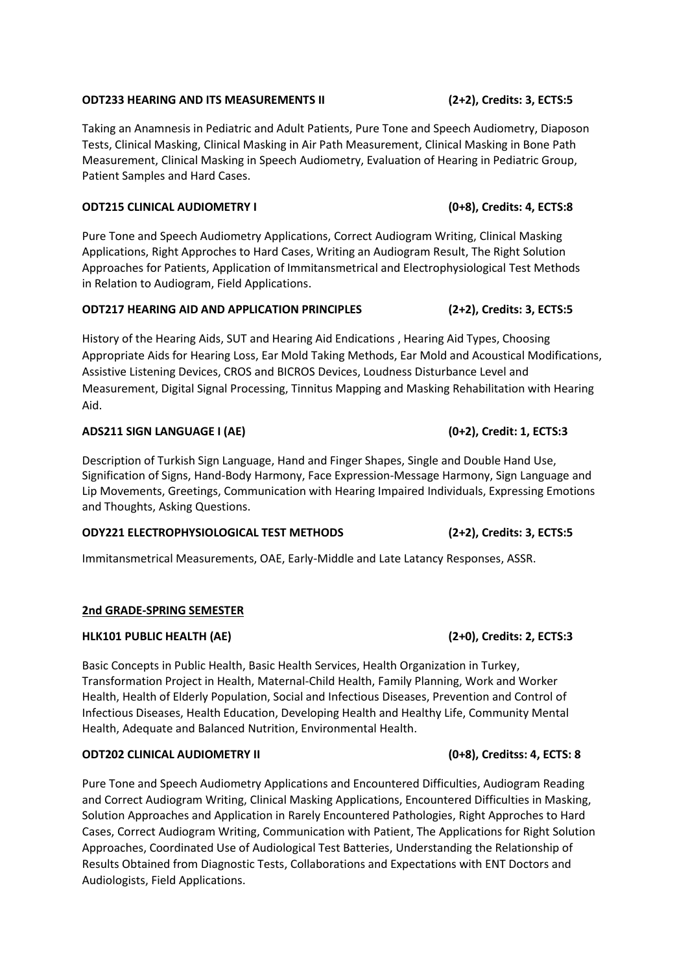### **ODT233 HEARING AND ITS MEASUREMENTS II (2+2), Credits: 3, ECTS:5**

Taking an Anamnesis in Pediatric and Adult Patients, Pure Tone and Speech Audiometry, Diaposon Tests, Clinical Masking, Clinical Masking in Air Path Measurement, Clinical Masking in Bone Path Measurement, Clinical Masking in Speech Audiometry, Evaluation of Hearing in Pediatric Group, Patient Samples and Hard Cases.

### **ODT215 CLINICAL AUDIOMETRY I (0+8), Credits: 4, ECTS:8**

Pure Tone and Speech Audiometry Applications, Correct Audiogram Writing, Clinical Masking Applications, Right Approches to Hard Cases, Writing an Audiogram Result, The Right Solution Approaches for Patients, Application of Immitansmetrical and Electrophysiological Test Methods in Relation to Audiogram, Field Applications.

## **ODT217 HEARING AID AND APPLICATION PRINCIPLES (2+2), Credits: 3, ECTS:5**

History of the Hearing Aids, SUT and Hearing Aid Endications , Hearing Aid Types, Choosing Appropriate Aids for Hearing Loss, Ear Mold Taking Methods, Ear Mold and Acoustical Modifications, Assistive Listening Devices, CROS and BICROS Devices, Loudness Disturbance Level and Measurement, Digital Signal Processing, Tinnitus Mapping and Masking Rehabilitation with Hearing Aid.

### **ADS211 SIGN LANGUAGE I (AE) (0+2), Credit: 1, ECTS:3**

Description of Turkish Sign Language, Hand and Finger Shapes, Single and Double Hand Use, Signification of Signs, Hand-Body Harmony, Face Expression-Message Harmony, Sign Language and Lip Movements, Greetings, Communication with Hearing Impaired Individuals, Expressing Emotions and Thoughts, Asking Questions.

## **ODY221 ELECTROPHYSIOLOGICAL TEST METHODS (2+2), Credits: 3, ECTS:5**

Immitansmetrical Measurements, OAE, Early-Middle and Late Latancy Responses, ASSR.

## **2nd GRADE-SPRING SEMESTER**

## **HLK101 PUBLIC HEALTH (AE) (2+0), Credits: 2, ECTS:3**

Basic Concepts in Public Health, Basic Health Services, Health Organization in Turkey, Transformation Project in Health, Maternal-Child Health, Family Planning, Work and Worker Health, Health of Elderly Population, Social and Infectious Diseases, Prevention and Control of Infectious Diseases, Health Education, Developing Health and Healthy Life, Community Mental Health, Adequate and Balanced Nutrition, Environmental Health.

## **ODT202 CLINICAL AUDIOMETRY II (0+8), Creditss: 4, ECTS: 8**

Pure Tone and Speech Audiometry Applications and Encountered Difficulties, Audiogram Reading and Correct Audiogram Writing, Clinical Masking Applications, Encountered Difficulties in Masking, Solution Approaches and Application in Rarely Encountered Pathologies, Right Approches to Hard Cases, Correct Audiogram Writing, Communication with Patient, The Applications for Right Solution Approaches, Coordinated Use of Audiological Test Batteries, Understanding the Relationship of Results Obtained from Diagnostic Tests, Collaborations and Expectations with ENT Doctors and Audiologists, Field Applications.